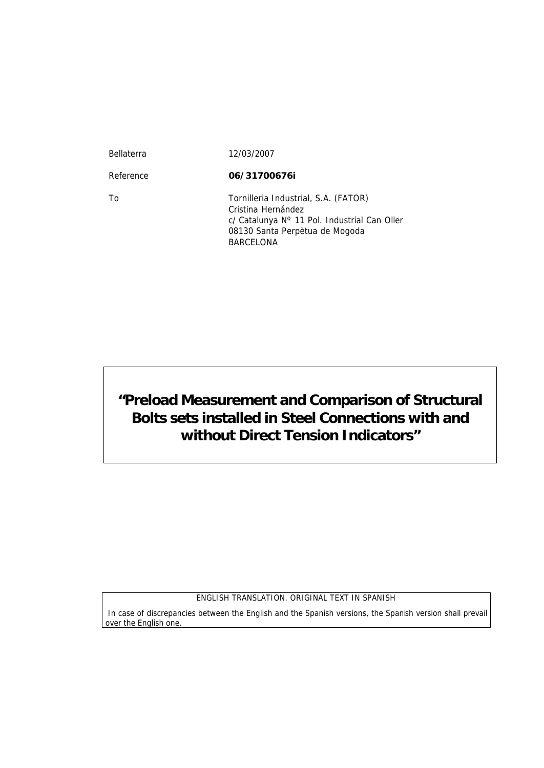| <b>Bellaterra</b> | 12/03/2007                                                                                                                                                |
|-------------------|-----------------------------------------------------------------------------------------------------------------------------------------------------------|
| Reference         | 06/31700676i                                                                                                                                              |
| Τo                | Tornilleria Industrial, S.A. (FATOR)<br>Cristina Hernández<br>c/ Catalunya Nº 11 Pol. Industrial Can Oller<br>08130 Santa Perpètua de Mogoda<br>BARCELONA |

**"Preload Measurement and Comparison of Structural Bolts sets installed in Steel Connections with and without Direct Tension Indicators"**

ENGLISH TRANSLATION. ORIGINAL TEXT IN SPANISH

 In case of discrepancies between the English and the Spanish versions, the Spanish version shall prevail over the English one.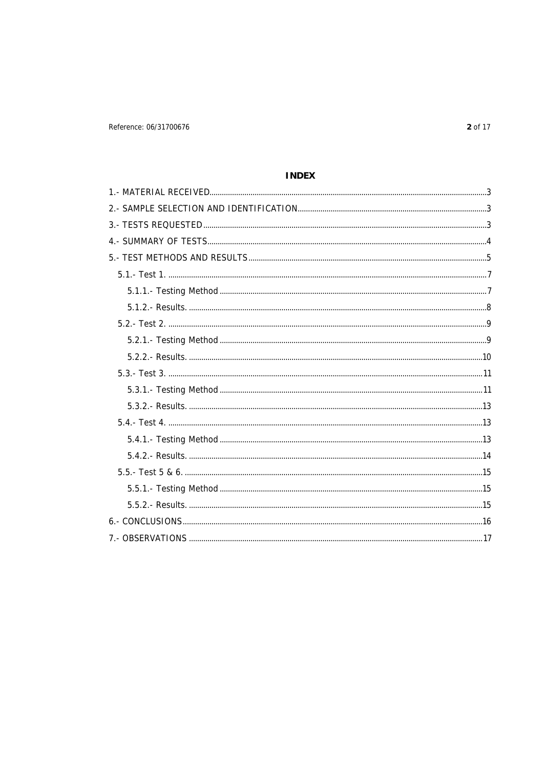# **INDEX**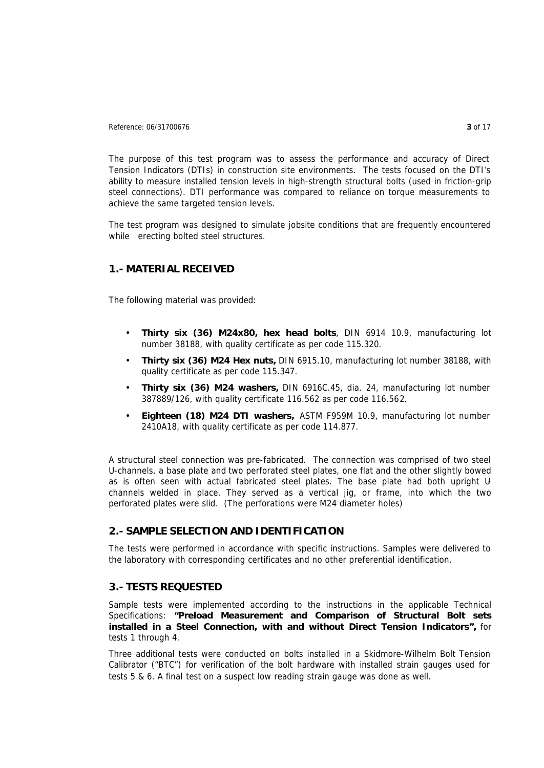Reference: 06/31700676 **3** of 17

The purpose of this test program was to assess the performance and accuracy of Direct Tension Indicators (DTIs) in construction site environments. The tests focused on the DTI's ability to measure installed tension levels in high-strength structural bolts (used in friction-grip steel connections). DTI performance was compared to reliance on torque measurements to achieve the same targeted tension levels.

The test program was designed to simulate jobsite conditions that are frequently encountered while erecting bolted steel structures.

# **1.- MATERIAL RECEIVED**

The following material was provided:

- **Thirty six (36) M24x80, hex head bolts**, DIN 6914 10.9, manufacturing lot number 38188, with quality certificate as per code 115.320.
- **Thirty six (36) M24 Hex nuts,** DIN 6915.10, manufacturing lot number 38188, with quality certificate as per code 115.347.
- **Thirty six (36) M24 washers,** DIN 6916C.45, dia. 24, manufacturing lot number 387889/126, with quality certificate 116.562 as per code 116.562.
- **Eighteen (18) M24 DTI washers,** ASTM F959M 10.9, manufacturing lot number 2410A18, with quality certificate as per code 114.877.

A structural steel connection was pre-fabricated. The connection was comprised of two steel U-channels, a base plate and two perforated steel plates, one flat and the other slightly bowed as is often seen with actual fabricated steel plates. The base plate had both upright Uchannels welded in place. They served as a vertical jig, or frame, into which the two perforated plates were slid. (The perforations were M24 diameter holes)

# **2.- SAMPLE SELECTION AND IDENTIFICATION**

The tests were performed in accordance with specific instructions. Samples were delivered to the laboratory with corresponding certificates and no other preferential identification.

# **3.- TESTS REQUESTED**

Sample tests were implemented according to the instructions in the applicable Technical Specifications: *"Preload Measurement and Comparison of Structural Bolt sets installed in a Steel Connection, with and without Direct Tension Indicators",* for tests 1 through 4.

Three additional tests were conducted on bolts installed in a Skidmore-Wilhelm Bolt Tension Calibrator ("BTC") for verification of the bolt hardware with installed strain gauges used for tests 5 & 6. A final test on a suspect low reading strain gauge was done as well.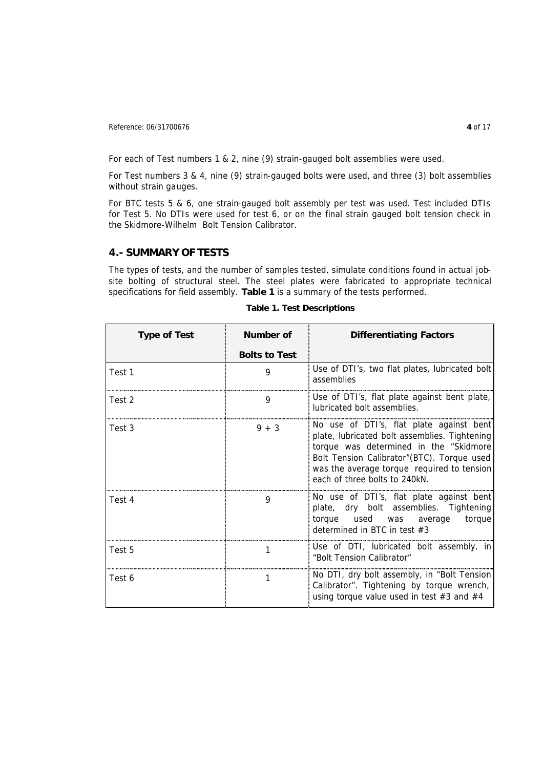For each of Test numbers 1 & 2, nine (9) strain-gauged bolt assemblies were used.

For Test numbers 3 & 4, nine (9) strain-gauged bolts were used, and three (3) bolt assemblies without strain gauges.

For BTC tests 5 & 6, one strain-gauged bolt assembly per test was used. Test included DTIs for Test 5. No DTIs were used for test 6, or on the final strain gauged bolt tension check in the Skidmore-Wilhelm Bolt Tension Calibrator.

# **4.- SUMMARY OF TESTS**

The types of tests, and the number of samples tested, simulate conditions found in actual jobsite bolting of structural steel. The steel plates were fabricated to appropriate technical specifications for field assembly. **Table 1** is a summary of the tests performed.

| <b>Type of Test</b> | <b>Number of</b>     | <b>Differentiating Factors</b>                                                                                                                                                                                                                                     |  |
|---------------------|----------------------|--------------------------------------------------------------------------------------------------------------------------------------------------------------------------------------------------------------------------------------------------------------------|--|
|                     | <b>Bolts to Test</b> |                                                                                                                                                                                                                                                                    |  |
| Test 1              | 9                    | Use of DTI's, two flat plates, lubricated bolt<br>assemblies                                                                                                                                                                                                       |  |
| Test 2              | 9                    | Use of DTI's, flat plate against bent plate,<br>lubricated bolt assemblies.                                                                                                                                                                                        |  |
| Test 3              | $9 + 3$              | No use of DTI's, flat plate against bent<br>plate, lubricated bolt assemblies. Tightening<br>torque was determined in the "Skidmore"<br>Bolt Tension Calibrator" (BTC). Torque used<br>was the average torque required to tension<br>each of three bolts to 240kN. |  |
| Test 4              | 9                    | No use of DTI's, flat plate against bent<br>plate, dry bolt assemblies. Tightening<br>torque used was average torque<br>determined in BTC in test $#3$                                                                                                             |  |
| Test 5              |                      | Use of DTI, lubricated bolt assembly, in<br>"Bolt Tension Calibrator"                                                                                                                                                                                              |  |
| Test 6              |                      | No DTI, dry bolt assembly, in "Bolt Tension"<br>Calibrator". Tightening by torque wrench,<br>using torque value used in test $#3$ and $#4$                                                                                                                         |  |

**Table 1. Test Descriptions**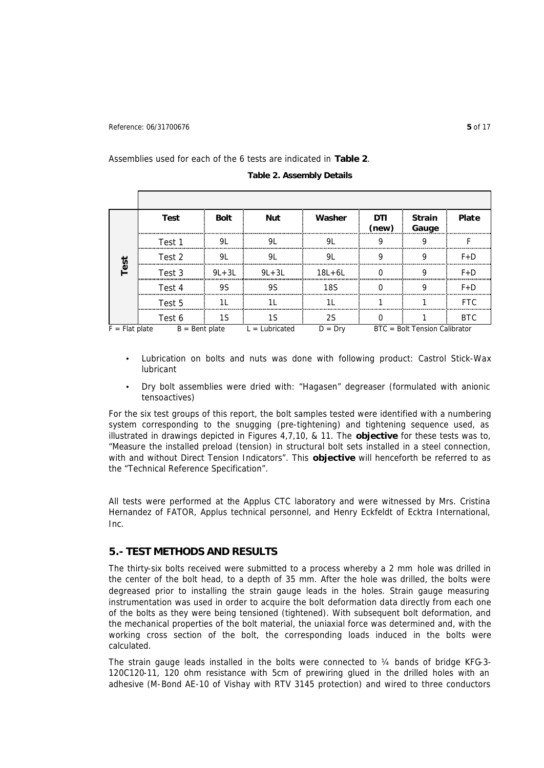#### Assemblies used for each of the 6 tests are indicated in **Table 2**.

|                  | <b>Test</b>      | <b>Bolt</b> | <b>Nut</b>       | Washer            | DTI<br>(new) | <b>Strain</b><br>Gauge        | <b>Plate</b> |
|------------------|------------------|-------------|------------------|-------------------|--------------|-------------------------------|--------------|
|                  | Test 1           |             |                  |                   |              |                               |              |
| Ñ                | Test 2<br>       |             |                  |                   |              |                               | $F + D$      |
|                  | Test 3           | $9L + 3L$   | $9L+3L$          | $18L + 6L$        |              |                               | $F + D$      |
|                  | Test 4           | 9S          | q۲               | 18S               |              |                               | F+D          |
|                  | Test 5           |             |                  |                   |              |                               |              |
|                  | Test 6           |             |                  |                   |              |                               | BTC.         |
| $F = Flat$ plate | $B =$ Bent plate |             | $L =$ Lubricated | $I) = \text{Drv}$ |              | BTC = Bolt Tension Calibrator |              |

**Table 2. Assembly Details** 

- Lubrication on bolts and nuts was done with following product: Castrol Stick-Wax lubricant
- Dry bolt assemblies were dried with: "Hagasen" degreaser (formulated with anionic tensoactives)

For the six test groups of this report, the bolt samples tested were identified with a numbering system corresponding to the snugging (pre-tightening) and tightening sequence used, as illustrated in drawings depicted in Figures 4,7,10, & 11. The *objective* for these tests was to, "Measure the installed preload (tension) in structural bolt sets installed in a steel connection, with and without Direct Tension Indicators". This *objective* will henceforth be referred to as the "Technical Reference Specification".

All tests were performed at the Applus CTC laboratory and were witnessed by Mrs. Cristina Hernandez of FATOR, Applus technical personnel, and Henry Eckfeldt of Ecktra International, Inc.

### **5.- TEST METHODS AND RESULTS**

The thirty-six bolts received were submitted to a process whereby a 2 mm hole was drilled in the center of the bolt head, to a depth of 35 mm. After the hole was drilled, the bolts were degreased prior to installing the strain gauge leads in the holes. Strain gauge measuring instrumentation was used in order to acquire the bolt deformation data directly from each one of the bolts as they were being tensioned (tightened). With subsequent bolt deformation, and the mechanical properties of the bolt material, the uniaxial force was determined and, with the working cross section of the bolt, the corresponding loads induced in the bolts were calculated.

The strain gauge leads installed in the bolts were connected to  $\frac{1}{4}$  bands of bridge KFG-3-120C120-11, 120 ohm resistance with 5cm of prewiring glued in the drilled holes with an adhesive (M-Bond AE-10 of Vishay with RTV 3145 protection) and wired to three conductors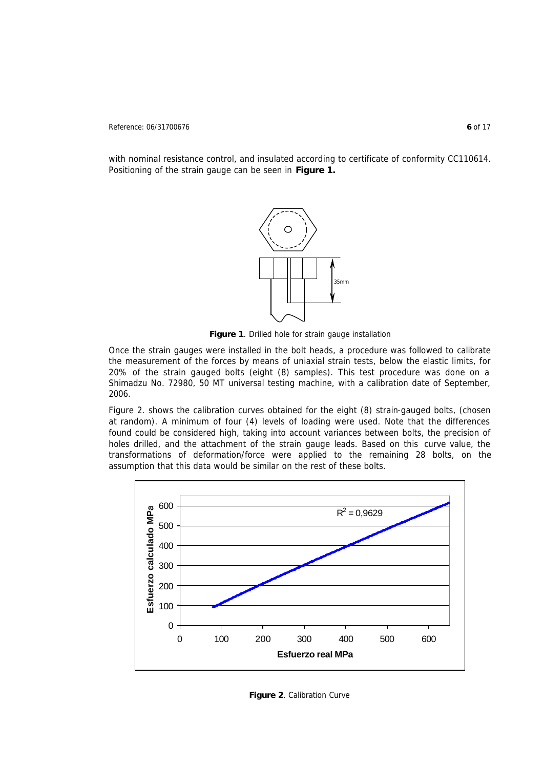Reference: 06/31700676 **6** of 17

with nominal resistance control, and insulated according to certificate of conformity CC110614. Positioning of the strain gauge can be seen in **Figure 1.**



**Figure 1**. Drilled hole for strain gauge installation

Once the strain gauges were installed in the bolt heads, a procedure was followed to calibrate the measurement of the forces by means of uniaxial strain tests, below the elastic limits, for 20% of the strain gauged bolts (eight (8) samples). This test procedure was done on a Shimadzu No. 72980, 50 MT universal testing machine, with a calibration date of September, 2006.

Figure 2. shows the calibration curves obtained for the eight (8) strain-gauged bolts, (chosen at random). A minimum of four (4) levels of loading were used. Note that the differences found could be considered high, taking into account variances between bolts, the precision of holes drilled, and the attachment of the strain gauge leads. Based on this curve value, the transformations of deformation/force were applied to the remaining 28 bolts, on the assumption that this data would be similar on the rest of these bolts.



**Figure 2**. Calibration Curve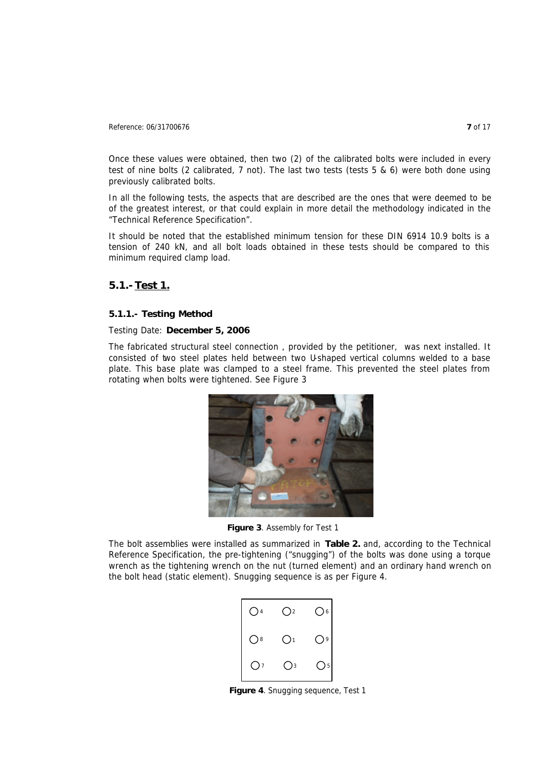Once these values were obtained, then two (2) of the calibrated bolts were included in every test of nine bolts (2 calibrated, 7 not). The last two tests (tests 5 & 6) were both done using previously calibrated bolts.

In all the following tests, the aspects that are described are the ones that were deemed to be of the greatest interest, or that could explain in more detail the methodology indicated in the "Technical Reference Specification".

It should be noted that the established minimum tension for these DIN 6914 10.9 bolts is a tension of 240 kN, and all bolt loads obtained in these tests should be compared to this minimum required clamp load.

## **5.1.- Test 1.**

### **5.1.1.- Testing Method**

#### Testing Date: **December 5, 2006**

The fabricated structural steel connection , provided by the petitioner, was next installed. It consisted of two steel plates held between two U-shaped vertical columns welded to a base plate. This base plate was clamped to a steel frame. This prevented the steel plates from rotating when bolts were tightened. See Figure 3



**Figure 3**. Assembly for Test 1

The bolt assemblies were installed as summarized in **Table 2.** and, according to the Technical Reference Specification, the pre-tightening ("snugging") of the bolts was done using a torque wrench as the tightening wrench on the nut (turned element) and an ordinary hand wrench on the bolt head (static element). Snugging sequence is as per Figure 4.



**Figure 4**. Snugging sequence, Test 1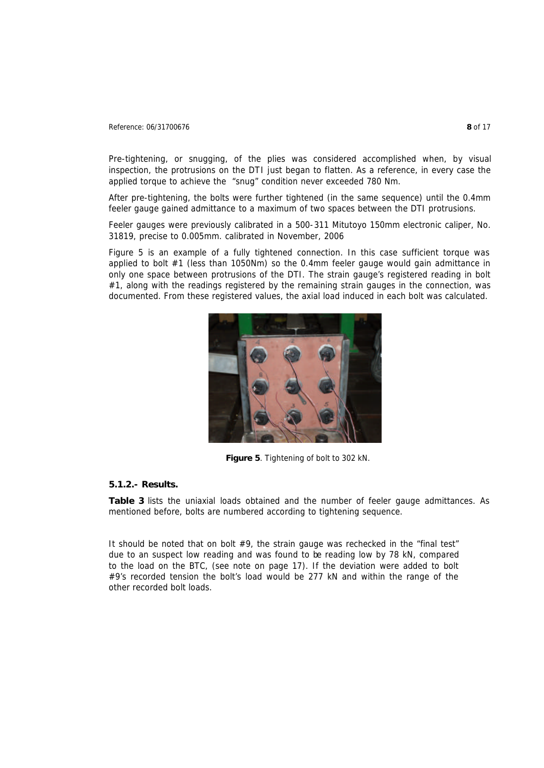### Reference: 06/31700676 **8** of 17

Pre-tightening, or snugging, of the plies was considered accomplished when, by visual inspection, the protrusions on the DTI just began to flatten. As a reference, in every case the applied torque to achieve the "snug" condition never exceeded 780 Nm.

After pre-tightening, the bolts were further tightened (in the same sequence) until the 0.4mm feeler gauge gained admittance to a maximum of two spaces between the DTI protrusions.

Feeler gauges were previously calibrated in a 500-311 Mitutoyo 150mm electronic caliper, No. 31819, precise to 0.005mm. calibrated in November, 2006

Figure 5 is an example of a fully tightened connection. In this case sufficient torque was applied to bolt #1 (less than 1050Nm) so the 0.4mm feeler gauge would gain admittance in only one space between protrusions of the DTI. The strain gauge's registered reading in bolt #1, along with the readings registered by the remaining strain gauges in the connection, was documented. From these registered values, the axial load induced in each bolt was calculated.



**Figure 5**. Tightening of bolt to 302 kN.

### **5.1.2.- Results.**

**Table 3** lists the uniaxial loads obtained and the number of feeler gauge admittances. As mentioned before, bolts are numbered according to tightening sequence.

*It should be noted that on bolt #9, the strain gauge was rechecked in the "final test" due to an suspect low reading and was found to be reading low by 78 kN, compared*  to the load on the BTC, (see note on page 17). If the deviation were added to bolt *#9's recorded tension the bolt's load would be 277 kN and within the range of the other recorded bolt loads.*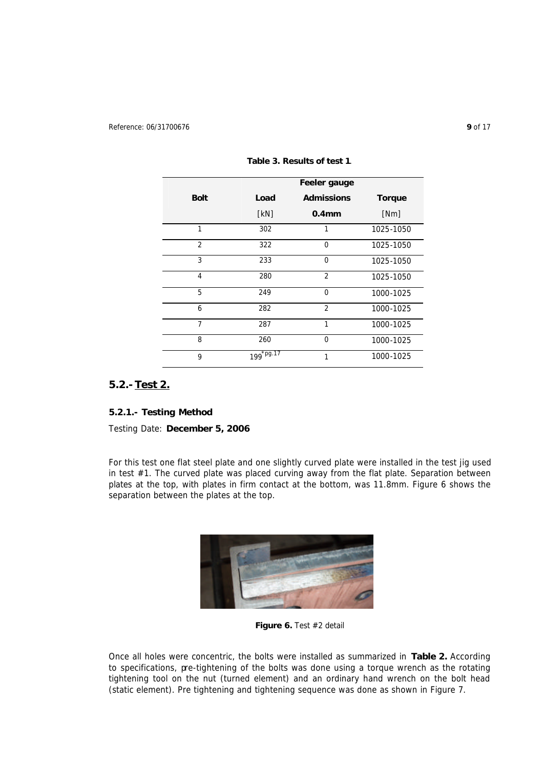|                | Feeler gauge          |                   |               |
|----------------|-----------------------|-------------------|---------------|
| <b>Bolt</b>    | Load                  | <b>Admissions</b> | <b>Torque</b> |
|                | [KN]                  | 0.4 <sub>mm</sub> | [Nm]          |
| 1              | 302                   |                   | 1025-1050     |
| $\overline{2}$ | 322                   | 0                 | 1025-1050     |
| 3              | 233                   | $\Omega$          | 1025-1050     |
| $\overline{4}$ | 280                   | $\overline{2}$    | 1025-1050     |
| 5              | 249                   | $\Omega$          | 1000-1025     |
| 6              | 282                   | $\overline{2}$    | 1000-1025     |
| $\overline{7}$ | 287                   | $\mathbf{1}$      | 1000-1025     |
| 8              | 260                   | $\Omega$          | 1000-1025     |
| 9              | 199 <sup>*pg.17</sup> | 1                 | 1000-1025     |

**Table 3. Results of test 1**.

# **5.2.- Test 2.**

### **5.2.1.- Testing Method**

Testing Date: **December 5, 2006**

For this test one flat steel plate and one slightly curved plate were installed in the test jig used in test #1. The curved plate was placed curving away from the flat plate. Separation between plates at the top, with plates in firm contact at the bottom, was 11.8mm. Figure 6 shows the separation between the plates at the top.



**Figure 6.** Test #2 detail

Once all holes were concentric, the bolts were installed as summarized in **Table 2.** According to specifications, pre-tightening of the bolts was done using a torque wrench as the rotating tightening tool on the nut (turned element) and an ordinary hand wrench on the bolt head (static element). Pre tightening and tightening sequence was done as shown in Figure 7.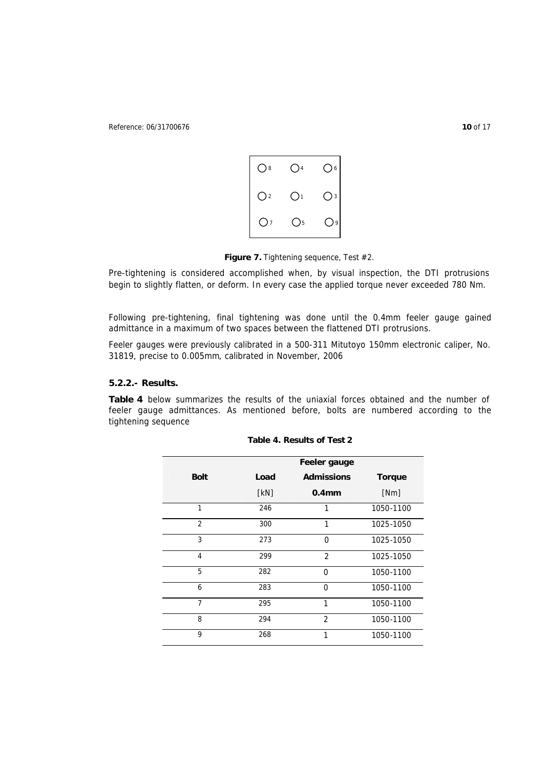Reference: 06/31700676 **10** of 17



Figure 7. Tightening sequence, Test #2.

Pre-tightening is considered accomplished when, by visual inspection, the DTI protrusions begin to slightly flatten, or deform. In every case the applied torque never exceeded 780 Nm.

Following pre-tightening, final tightening was done until the 0.4mm feeler gauge gained admittance in a maximum of two spaces between the flattened DTI protrusions.

Feeler gauges were previously calibrated in a 500-311 Mitutoyo 150mm electronic caliper, No. 31819, precise to 0.005mm, calibrated in November, 2006

#### **5.2.2.- Results.**

**Table 4** below summarizes the results of the uniaxial forces obtained and the number of feeler gauge admittances. As mentioned before, bolts are numbered according to the tightening sequence

|                | Feeler gauge |                   |               |
|----------------|--------------|-------------------|---------------|
| <b>Bolt</b>    | Load         | <b>Admissions</b> | <b>Torque</b> |
|                | [KN]         | 0.4 <sub>mm</sub> | [Nm]          |
| 1              | 246          | 1                 | 1050-1100     |
| $\overline{2}$ | 300          | 1                 | 1025-1050     |
| $\overline{3}$ | 273          | $\Omega$          | 1025-1050     |
| $\overline{4}$ | 299          | 2                 | 1025-1050     |
| 5              | 282          | 0                 | 1050-1100     |
| 6              | 283          | $\Omega$          | 1050-1100     |
| $\overline{7}$ | 295          | 1                 | 1050-1100     |
| 8              | 294          | $\overline{2}$    | 1050-1100     |
| 9              | 268          | 1                 | 1050-1100     |

**Table 4. Results of Test 2**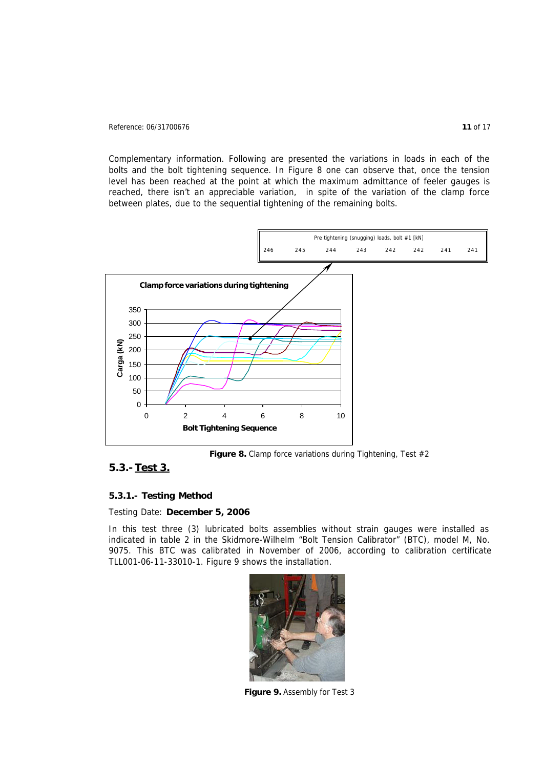#### Reference: 06/31700676 **11** of 17

Complementary information. Following are presented the variations in loads in each of the bolts and the bolt tightening sequence. In Figure 8 one can observe that, once the tension level has been reached at the point at which the maximum admittance of feeler gauges is reached, there isn't an appreciable variation, in spite of the variation of the clamp force between plates, due to the sequential tightening of the remaining bolts.



Figure 8. Clamp force variations during Tightening, Test #2

### **5.3.- Test 3.**

#### **5.3.1.- Testing Method**

#### Testing Date: **December 5, 2006**

In this test three (3) lubricated bolts assemblies without strain gauges were installed as indicated in table 2 in the Skidmore-Wilhelm "Bolt Tension Calibrator" (BTC), model M, No. 9075. This BTC was calibrated in November of 2006, according to calibration certificate TLL001-06-11-33010-1. Figure 9 shows the installation.



Figure 9. Assembly for Test 3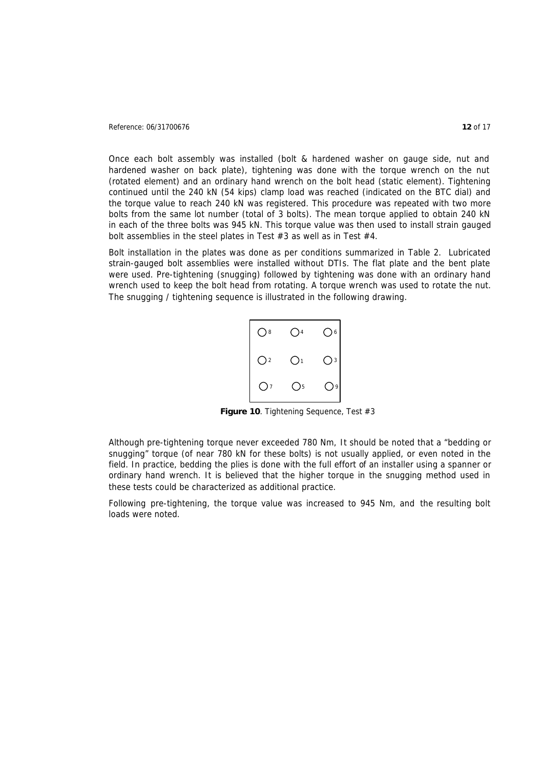#### Reference: 06/31700676 **12** of 17

Once each bolt assembly was installed (bolt & hardened washer on gauge side, nut and hardened washer on back plate), tightening was done with the torque wrench on the nut (rotated element) and an ordinary hand wrench on the bolt head (static element). Tightening continued until the 240 kN (54 kips) clamp load was reached (indicated on the BTC dial) and the torque value to reach 240 kN was registered. This procedure was repeated with two more bolts from the same lot number (total of 3 bolts). The mean torque applied to obtain 240 kN in each of the three bolts was 945 kN. This torque value was then used to install strain gauged bolt assemblies in the steel plates in Test #3 as well as in Test #4.

Bolt installation in the plates was done as per conditions summarized in Table 2. Lubricated strain-gauged bolt assemblies were installed without DTIs. The flat plate and the bent plate were used. Pre-tightening (snugging) followed by tightening was done with an ordinary hand wrench used to keep the bolt head from rotating. A torque wrench was used to rotate the nut. The snugging / tightening sequence is illustrated in the following drawing.



Figure 10. Tightening Sequence, Test #3

Although pre-tightening torque never exceeded 780 Nm, *It should be noted that a "bedding or snugging" torque (of near 780 kN for these bolts) is not usually applied, or even noted in the field. In practice, bedding the plies is done with the full effort of an installer using a spanner or ordinary hand wrench. It is believed that the higher torque in the snugging method used in these tests could be characterized as additional practice.*

Following pre-tightening, the torque value was increased to 945 Nm, and the resulting bolt loads were noted.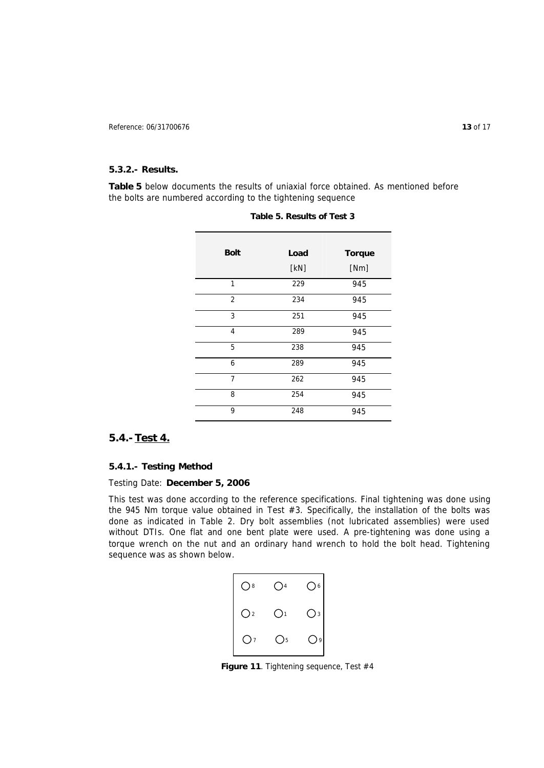#### **5.3.2.- Results.**

**Table 5** below documents the results of uniaxial force obtained. As mentioned before the bolts are numbered according to the tightening sequence

| <b>Bolt</b>    | Load | <b>Torque</b> |
|----------------|------|---------------|
|                | [kN] | [Nm]          |
| $\mathbf{1}$   | 229  | 945           |
| $\overline{2}$ | 234  | 945           |
| 3              | 251  | 945           |
| $\overline{4}$ | 289  | 945           |
| 5              | 238  | 945           |
| 6              | 289  | 945           |
| $\overline{7}$ | 262  | 945           |
| 8              | 254  | 945           |
| 9              | 248  | 945           |

|  | Table 5. Results of Test 3 |  |  |
|--|----------------------------|--|--|
|--|----------------------------|--|--|

### **5.4.- Test 4.**

### **5.4.1.- Testing Method**

### Testing Date: **December 5, 2006**

This test was done according to the reference specifications. Final tightening was done using the 945 Nm torque value obtained in Test #3. Specifically, the installation of the bolts was done as indicated in Table 2. Dry bolt assemblies (not lubricated assemblies) were used without DTIs. One flat and one bent plate were used. A pre-tightening was done using a torque wrench on the nut and an ordinary hand wrench to hold the bolt head. Tightening sequence was as shown below.



Figure 11. Tightening sequence, Test #4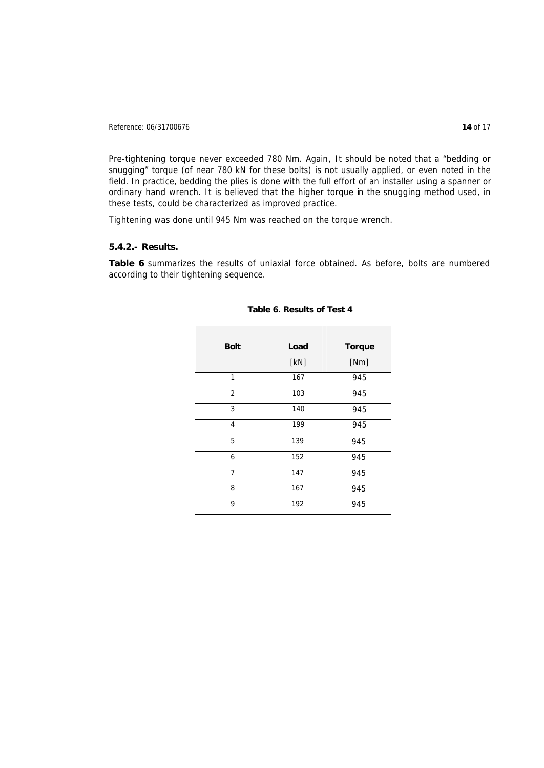Reference: 06/31700676 **14** of 17

Pre-tightening torque never exceeded 780 Nm. *Again*, *It should be noted that a "bedding or snugging" torque (of near 780 kN for these bolts) is not usually applied, or even noted in the field. In practice, bedding the plies is done with the full effort of an installer using a spanner or ordinary hand wrench. It is believed that the higher torque in the snugging method used, in these tests, could be characterized as improved practice.*

Tightening was done until 945 Nm was reached on the torque wrench.

### **5.4.2.- Results.**

**Table 6** summarizes the results of uniaxial force obtained. As before, bolts are numbered according to their tightening sequence.

| <b>Bolt</b>    | Load | <b>Torque</b> |
|----------------|------|---------------|
|                | [kN] | [Nm]          |
| $\mathbf{1}$   | 167  | 945           |
| $\overline{2}$ | 103  | 945           |
| 3              | 140  | 945           |
| $\overline{4}$ | 199  | 945           |
| 5              | 139  | 945           |
| 6              | 152  | 945           |
| $\overline{7}$ | 147  | 945           |
| 8              | 167  | 945           |
| 9              | 192  | 945           |

#### **Table 6. Results of Test 4**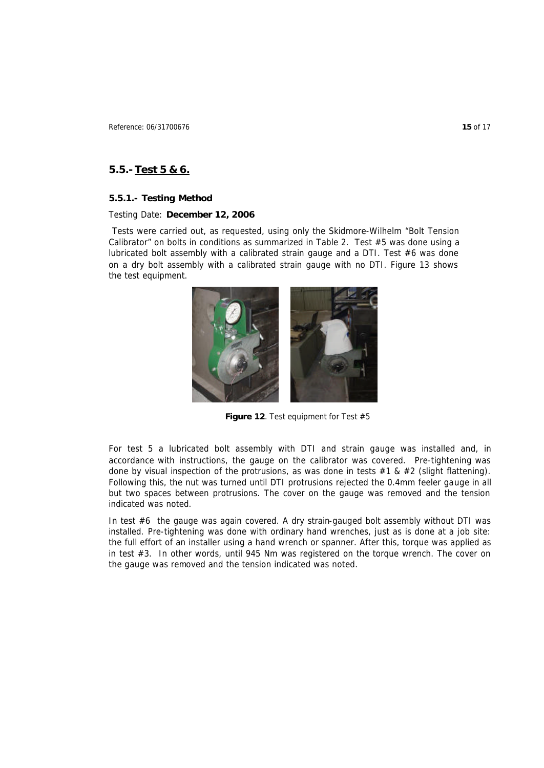# **5.5.- Test 5 & 6.**

#### **5.5.1.- Testing Method**

#### Testing Date: **December 12, 2006**

 Tests were carried out, as requested, using only the Skidmore-Wilhelm "Bolt Tension Calibrator" on bolts in conditions as summarized in Table 2. Test #5 was done using a lubricated bolt assembly with a calibrated strain gauge and a DTI. Test #6 was done on a dry bolt assembly with a calibrated strain gauge with no DTI. Figure 13 shows the test equipment.



**Figure 12**. Test equipment for Test #5

For test 5 a lubricated bolt assembly with DTI and strain gauge was installed and, in accordance with instructions, the gauge on the calibrator was covered. Pre-tightening was done by visual inspection of the protrusions, as was done in tests  $#1 & 42$  (slight flattening). Following this, the nut was turned until DTI protrusions rejected the 0.4mm feeler gauge in all but two spaces between protrusions. The cover on the gauge was removed and the tension indicated was noted.

In test #6 the gauge was again covered. A dry strain-gauged bolt assembly without DTI was installed. Pre-tightening was done with ordinary hand wrenches, just as is done at a job site: the full effort of an installer using a hand wrench or spanner. After this, torque was applied as in test #3. In other words, until 945 Nm was registered on the torque wrench. The cover on the gauge was removed and the tension indicated was noted.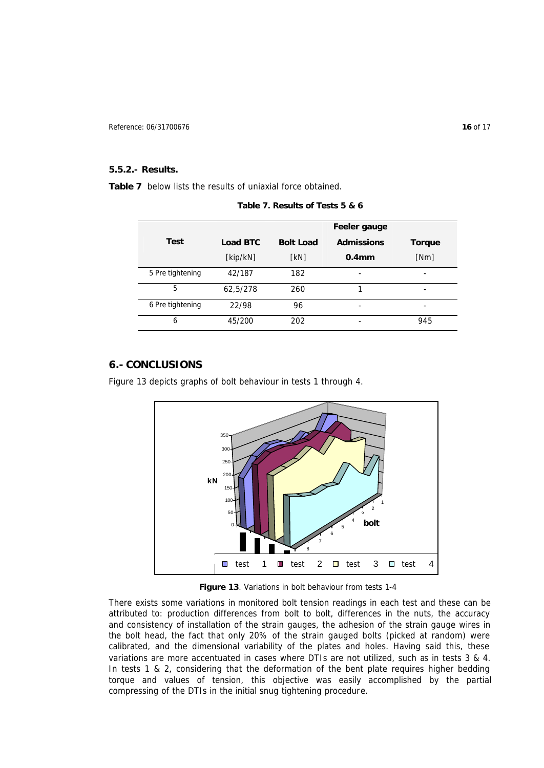#### **5.5.2.- Results.**

**Table 7** below lists the results of uniaxial force obtained.

|                  |                 |                  | Feeler gauge      |               |
|------------------|-----------------|------------------|-------------------|---------------|
| <b>Test</b>      | <b>Load BTC</b> | <b>Bolt Load</b> | <b>Admissions</b> | <b>Torque</b> |
|                  | [kip/kN]        | [kN]             | 0.4 <sub>mm</sub> | [Nm]          |
| 5 Pre tightening | 42/187          | 182              | -                 |               |
| 5                | 62,5/278        | 260              |                   |               |
| 6 Pre tightening | 22/98           | 96               |                   |               |
| 6                | 45/200          | 202              |                   | 945           |

**Table 7. Results of Tests 5 & 6**

# **6.- CONCLUSIONS**

Figure 13 depicts graphs of bolt behaviour in tests 1 through 4.



**Figure 13**. Variations in bolt behaviour from tests 1-4

There exists some variations in monitored bolt tension readings in each test and these can be attributed to: production differences from bolt to bolt, differences in the nuts, the accuracy and consistency of installation of the strain gauges, the adhesion of the strain gauge wires in the bolt head, the fact that only 20% of the strain gauged bolts (picked at random) were calibrated, and the dimensional variability of the plates and holes. Having said this, these variations are more accentuated in cases where DTIs are not utilized, such as in tests 3 & 4. In tests 1 & 2, considering that the deformation of the bent plate requires higher bedding torque and values of tension, this objective was easily accomplished by the partial compressing of the DTIs in the initial snug tightening procedure.